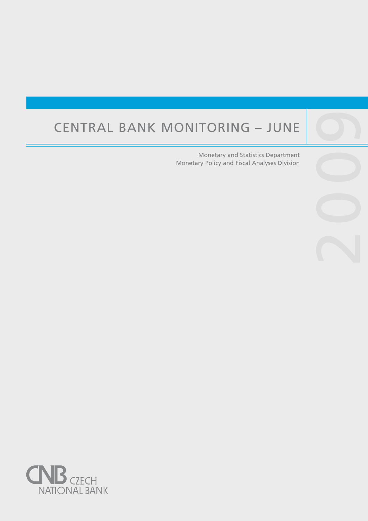# Central Bank Monitoring – June

Central banks are not universities and one would

purpose, such as, to lay the ground for the satisfac-

Monetary and Statistics Department Monetary Policy and Fiscal Analyses Division

2009

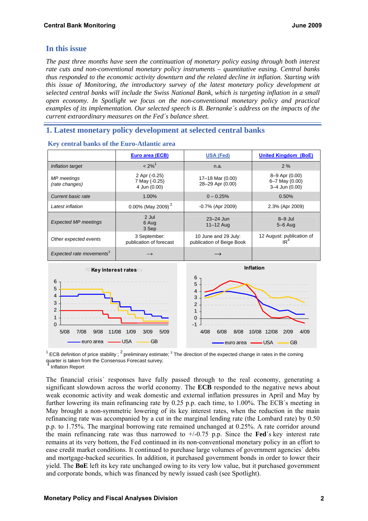# **In this issue**

*The past three months have seen the continuation of monetary policy easing through both interest rate cuts and non-conventional monetary policy instruments – quantitative easing. Central banks thus responded to the economic activity downturn and the related decline in inflation. Starting with this issue of Monitoring, the introductory survey of the latest monetary policy development at selected central banks will include the Swiss National Bank, which is targeting inflation in a small open economy. In Spotlight we focus on the non-conventional monetary policy and practical examples of its implementation. Our selected speech is B. Bernanke´s address on the impacts of the current extraordinary measures on the Fed´s balance sheet.* 

# **1. Latest monetary policy development at selected central banks**

|                                      | Euro area (ECB)                                | <b>USA (Fed)</b>                                  | <b>United Kingdom (BoE)</b>                        |  |  |
|--------------------------------------|------------------------------------------------|---------------------------------------------------|----------------------------------------------------|--|--|
| Inflation target                     | $< 2\%$ <sup>1</sup>                           | n.a.                                              | 2%                                                 |  |  |
| MP meetings<br>(rate changes)        | 2 Apr (-0.25)<br>7 May (-0.25)<br>4 Jun (0.00) | 17-18 Mar (0.00)<br>28-29 Apr (0.00)              | 8–9 Apr (0.00)<br>6-7 May (0.00)<br>3-4 Jun (0.00) |  |  |
| Current basic rate                   | 1.00%                                          | $0 - 0.25%$                                       | 0.50%                                              |  |  |
| Latest inflation                     | 0.00% (May 2009) <sup>2</sup>                  | $-0.7\%$ (Apr 2009)                               | 2.3% (Apr 2009)                                    |  |  |
| <b>Expected MP meetings</b>          | 2 Jul<br>6 Aug<br>3 Sep                        | $23 - 24$ Jun<br>$11-12$ Aug                      | $8-9$ Jul<br>$5-6$ Aug                             |  |  |
| Other expected events                | 3 September:<br>publication of forecast        | 10 June and 29 July:<br>publication of Beige Book | 12 August: publication of<br>IR <sup>4</sup>       |  |  |
| Expected rate movements <sup>3</sup> | $\rightarrow$                                  |                                                   |                                                    |  |  |
|                                      |                                                |                                                   |                                                    |  |  |

#### **Key central banks of the Euro-Atlantic area**



<sup>1</sup> ECB definition of price stability; <sup>2</sup> preliminary estimate; <sup>3</sup> The direction of the expected change in rates in the coming quarter is taken from the Consensus Forecast survey;<br><sup>4</sup><br>

Inflation Report

The financial crisis´ responses have fully passed through to the real economy, generating a significant slowdown across the world economy. The **ECB** responded to the negative news about weak economic activity and weak domestic and external inflation pressures in April and May by further lowering its main refinancing rate by 0.25 p.p. each time, to 1.00%. The ECB´s meeting in May brought a non-symmetric lowering of its key interest rates, when the reduction in the main refinancing rate was accompanied by a cut in the marginal lending rate (the Lombard rate) by 0.50 p.p. to 1.75%. The marginal borrowing rate remained unchanged at 0.25%. A rate corridor around the main refinancing rate was thus narrowed to  $+/-0.75$  p.p. Since the **Fed**'s key interest rate remains at its very bottom, the Fed continued in its non-conventional monetary policy in an effort to ease credit market conditions. It continued to purchase large volumes of government agencies´ debts and mortgage-backed securities. In addition, it purchased government bonds in order to lower their yield. The **BoE** left its key rate unchanged owing to its very low value, but it purchased government and corporate bonds, which was financed by newly issued cash (see Spotlight).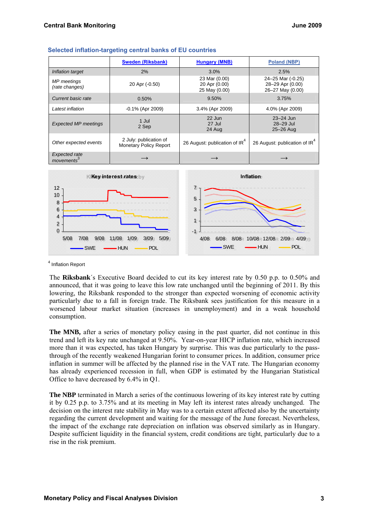|                                   | <b>Sweden (Riksbank)</b>                                | <b>Hungary (MNB)</b>                            | <b>Poland (NBP)</b>                                       |  |
|-----------------------------------|---------------------------------------------------------|-------------------------------------------------|-----------------------------------------------------------|--|
| Inflation target                  | 2%                                                      | 3.0%                                            | 2.5%                                                      |  |
| MP meetings<br>(rate changes)     | 20 Apr (-0.50)                                          | 23 Mar (0.00)<br>20 Apr (0.00)<br>25 May (0.00) | 24-25 Mar (-0.25)<br>28-29 Apr (0.00)<br>26-27 May (0.00) |  |
| Current basic rate                | 0.50%                                                   | 9.50%                                           | 3.75%                                                     |  |
| Latest inflation                  | -0.1% (Apr 2009)                                        | 3.4% (Apr 2009)                                 | 4.0% (Apr 2009)                                           |  |
| <b>Expected MP meetings</b>       | 1 Jul<br>2 Sep                                          | 22 Jun<br>27 Jul<br>24 Aug                      | $23 - 24$ Jun<br>28-29 Jul<br>25-26 Aug                   |  |
| Other expected events             | 2 July: publication of<br><b>Monetary Policy Report</b> | 26 August: publication of IR <sup>4</sup>       | 26 August: publication of IR <sup>4</sup>                 |  |
| <b>Expected rate</b><br>movements |                                                         |                                                 |                                                           |  |





4 Inflation Report

The **Riksbank**´s Executive Board decided to cut its key interest rate by 0.50 p.p. to 0.50% and announced, that it was going to leave this low rate unchanged until the beginning of 2011. By this lowering, the Riksbank responded to the stronger than expected worsening of economic activity particularly due to a fall in foreign trade. The Riksbank sees justification for this measure in a worsened labour market situation (increases in unemployment) and in a weak household consumption.

**The MNB,** after a series of monetary policy easing in the past quarter, did not continue in this trend and left its key rate unchanged at 9.50%. Year-on-year HICP inflation rate, which increased more than it was expected, has taken Hungary by surprise. This was due particularly to the passthrough of the recently weakened Hungarian forint to consumer prices. In addition, consumer price inflation in summer will be affected by the planned rise in the VAT rate. The Hungarian economy has already experienced recession in full, when GDP is estimated by the Hungarian Statistical Office to have decreased by 6.4% in Q1.

**The NBP** terminated in March a series of the continuous lowering of its key interest rate by cutting it by 0.25 p.p. to 3.75% and at its meeting in May left its interest rates already unchanged. The decision on the interest rate stability in May was to a certain extent affected also by the uncertainty regarding the current development and waiting for the message of the June forecast. Nevertheless, the impact of the exchange rate depreciation on inflation was observed similarly as in Hungary. Despite sufficient liquidity in the financial system, credit conditions are tight, particularly due to a rise in the risk premium.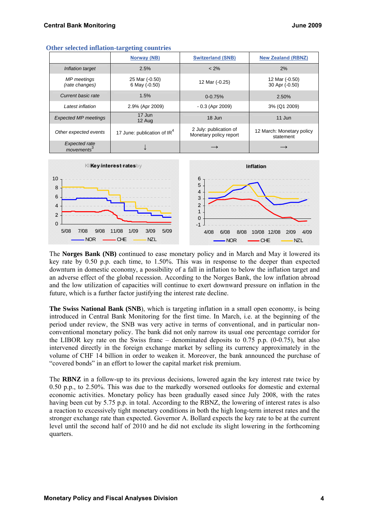|                                                | Norway (NB)                             | <b>Switzerland (SNB)</b>                         | <b>New Zealand (RBNZ)</b>              |  |
|------------------------------------------------|-----------------------------------------|--------------------------------------------------|----------------------------------------|--|
| Inflation target                               | 2.5%                                    | $< 2\%$                                          | 2%                                     |  |
| MP meetings<br>(rate changes)                  | 25 Mar (-0.50)<br>6 May (-0.50)         | 12 Mar (-0.25)                                   | 12 Mar (-0.50)<br>30 Apr (-0.50)       |  |
| Current basic rate                             | 1.5%                                    | $0 - 0.75%$                                      | 2.50%                                  |  |
| Latest inflation                               | 2.9% (Apr 2009)                         | $-0.3$ (Apr 2009)                                | 3% (Q1 2009)                           |  |
| <b>Expected MP meetings</b>                    | 17 Jun<br>12 Aug                        | 18 Jun                                           | 11 Jun                                 |  |
| Other expected events                          | 17 June: publication of IR <sup>4</sup> | 2 July: publication of<br>Monetary policy report | 12 March: Monetary policy<br>statement |  |
| <b>Expected rate</b><br>movements <sup>3</sup> |                                         | $\longrightarrow$                                |                                        |  |

**Other selected inflation-targeting countries**



The **Norges Bank (NB)** continued to ease monetary policy and in March and May it lowered its key rate by 0.50 p.p. each time, to 1.50%. This was in response to the deeper than expected downturn in domestic economy, a possibility of a fall in inflation to below the inflation target and an adverse effect of the global recession. According to the Norges Bank, the low inflation abroad and the low utilization of capacities will continue to exert downward pressure on inflation in the future, which is a further factor justifying the interest rate decline.

**The Swiss National Bank (SNB**), which is targeting inflation in a small open economy, is being introduced in Central Bank Monitoring for the first time. In March, i.e. at the beginning of the period under review, the SNB was very active in terms of conventional, and in particular nonconventional monetary policy. The bank did not only narrow its usual one percentage corridor for the LIBOR key rate on the Swiss franc – denominated deposits to  $0.75$  p.p.  $(0-0.75)$ , but also intervened directly in the foreign exchange market by selling its currency approximately in the volume of CHF 14 billion in order to weaken it. Moreover, the bank announced the purchase of "covered bonds" in an effort to lower the capital market risk premium.

The **RBNZ** in a follow-up to its previous decisions, lowered again the key interest rate twice by 0.50 p.p., to 2.50%. This was due to the markedly worsened outlooks for domestic and external economic activities. Monetary policy has been gradually eased since July 2008, with the rates having been cut by 5.75 p.p. in total. According to the RBNZ, the lowering of interest rates is also a reaction to excessively tight monetary conditions in both the high long-term interest rates and the stronger exchange rate than expected. Governor A. Bollard expects the key rate to be at the current level until the second half of 2010 and he did not exclude its slight lowering in the forthcoming quarters.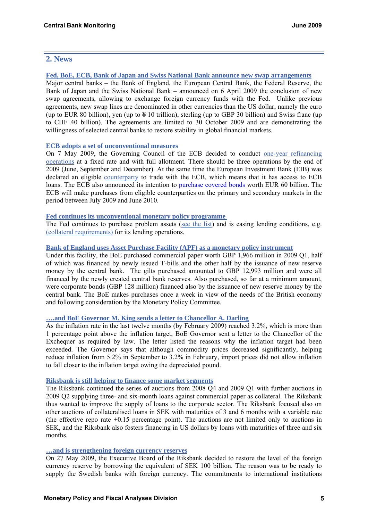# **2. News**

#### **[Fed, BoE, ECB, Bank of Japan and Swiss National Bank announce new swap arrangements](http://www.federalreserve.gov/newsevents/press/monetary/20090406a.htm)**

Major central banks – the Bank of England, the European Central Bank, the Federal Reserve, the Bank of Japan and the Swiss National Bank – announced on 6 April 2009 the conclusion of new swap agreements, allowing to exchange foreign currency funds with the Fed. Unlike previous agreements, new swap lines are denominated in other currencies than the US dollar, namely the euro (up to EUR 80 billion), yen (up to  $\frac{1}{2}$  10 trillion), sterling (up to GBP 30 billion) and Swiss franc (up to CHF 40 billion). The agreements are limited to 30 October 2009 and are demonstrating the willingness of selected central banks to restore stability in global financial markets.

## **ECB adopts a set of unconventional measures**

On 7 May 2009, the Governing Council of the ECB decided to conduct [one-year refinancing](http://www.ecb.europa.eu/press/pr/date/2009/html/pr090507_2.en.html)  [operations](http://www.ecb.europa.eu/press/pr/date/2009/html/pr090507_2.en.html) at a fixed rate and with full allotment. There should be three operations by the end of 2009 (June, September and December). At the same time the European Investment Bank (EIB) was declared an eligible [counterparty](http://www.ecb.europa.eu/press/pr/date/2009/html/pr090507_1.en.html) to trade with the ECB, which means that it has access to ECB loans. The ECB also announced its intention to [purchase covered bonds](http://www.ecb.europa.eu/press/pr/date/2009/html/pr090604_1.en.html) worth EUR 60 billion. The ECB will make purchases from eligible counterparties on the primary and secondary markets in the period between July 2009 and June 2010.

## **[Fed continues its unconventional monetary policy programme](http://www.federalreserve.gov/newsevents/press/monetary/2009monetary.htm)**

The Fed continues to purchase problem assets [\(see the list\)](http://www.federalreserve.gov./monetarypolicy/bst.htm) and is easing lending conditions, e.g. [\(collateral requirements\)](http://www.federalreserve.gov/newsevents/press/monetary/20090319a.htm) for its lending operations.

## **[Bank of England uses Asset Purchase Facility \(APF\) as a monetary policy instrument](http://www.bankofengland.co.uk/publications/news/2009/036.htm)**

Under this facility, the BoE purchased commercial paper worth GBP 1,966 million in 2009 Q1, half of which was financed by newly issued T-bills and the other half by the issuance of new reserve money by the central bank. The gilts purchased amounted to GBP 12,993 million and were all financed by the newly created central bank reserves. Also purchased, so far at a minimum amount, were corporate bonds (GBP 128 million) financed also by the issuance of new reserve money by the central bank. The BoE makes purchases once a week in view of the needs of the British economy and following consideration by the Monetary Policy Committee.

## **[….and BoE Governor M. King sends a letter to Chancellor A. Darling](http://www.bankofengland.co.uk/publications/news/2009/027.htm)**

As the inflation rate in the last twelve months (by February 2009) reached 3.2%, which is more than 1 percentage point above the inflation target, BoE Governor sent a letter to the Chancellor of the Exchequer as required by law. The letter listed the reasons why the inflation target had been exceeded. The Governor says that although commodity prices decreased significantly, helping reduce inflation from 5.2% in September to 3.2% in February, import prices did not allow inflation to fall closer to the inflation target owing the depreciated pound.

## **[Riksbank is still helping to finance some market segments](http://www.riksbank.com/templates/Page.aspx?id=29144)**

The Riksbank continued the series of auctions from 2008 Q4 and 2009 Q1 with further auctions in 2009 Q2 supplying three- and six-month loans against commercial paper as collateral. The Riksbank thus wanted to improve the supply of loans to the corporate sector. The Riksbank focused also on other auctions of collateralised loans in SEK with maturities of 3 and 6 months with a variable rate (the effective repo rate +0.15 percentage point). The auctions are not limited only to auctions in SEK, and the Riksbank also fosters financing in US dollars by loans with maturities of three and six months.

## **[…and is strengthening foreign currency reserves](http://www.riksbank.com/templates/Page.aspx?id=31646)**

On 27 May 2009, the Executive Board of the Riksbank decided to restore the level of the foreign currency reserve by borrowing the equivalent of SEK 100 billion. The reason was to be ready to supply the Swedish banks with foreign currency. The commitments to international institutions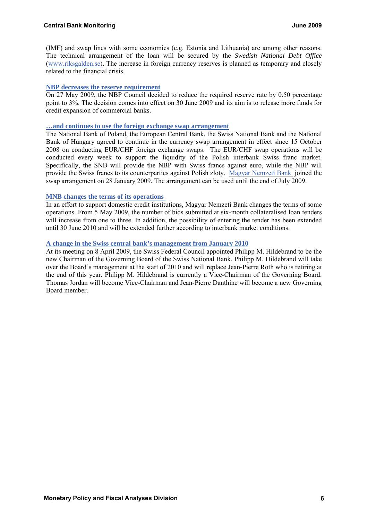(IMF) and swap lines with some economies (e.g. Estonia and Lithuania) are among other reasons. The technical arrangement of the loan will be secured by the *Swedish National Debt Office* [\(www.riksgalden.se](http://www.riksgalden.se/)). The increase in foreign currency reserves is planned as temporary and closely related to the financial crisis.

## **[NBP decreases the reserve requirement](http://www.nbp.pl/en/aktualnosci/2009/mpc_270509_mpc.pdf)**

On 27 May 2009, the NBP Council decided to reduce the required reserve rate by 0.50 percentage point to 3%. The decision comes into effect on 30 June 2009 and its aim is to release more funds for credit expansion of commercial banks.

#### **[…and continues to use the foreign exchange swap arrangement](http://www.nbp.pl/Homen.aspx?f=/en/aktualnosci/2009/swap270409en.html)**

The National Bank of Poland, the European Central Bank, the Swiss National Bank and the National Bank of Hungary agreed to continue in the currency swap arrangement in effect since 15 October 2008 on conducting EUR/CHF foreign exchange swaps. The EUR/CHF swap operations will be conducted every week to support the liquidity of the Polish interbank Swiss franc market. Specifically, the SNB will provide the NBP with Swiss francs against euro, while the NBP will provide the Swiss francs to its counterparties against Polish zloty. [Magyar Nemzeti Bank](http://english.mnb.hu/engine.aspx?page=mnben_pressreleases_2009&ContentID=12419) joined the swap arrangement on 28 January 2009. The arrangement can be used until the end of July 2009.

#### **[MNB changes the terms of its operations](http://english.mnb.hu/engine.aspx?page=mnben_pressreleases_2009&ContentID=12442)**

In an effort to support domestic credit institutions, Magyar Nemzeti Bank changes the terms of some operations. From 5 May 2009, the number of bids submitted at six-month collateralised loan tenders will increase from one to three. In addition, the possibility of entering the tender has been extended until 30 June 2010 and will be extended further according to interbank market conditions.

#### **[A change in the Swiss central bank's management from January 2010](http://www.snb.ch/en/mmr/reference/pre_20090408/source/pre_20090408.en.pdf)**

At its meeting on 8 April 2009, the Swiss Federal Council appointed Philipp M. Hildebrand to be the new Chairman of the Governing Board of the Swiss National Bank. Philipp M. Hildebrand will take over the Board's management at the start of 2010 and will replace Jean-Pierre Roth who is retiring at the end of this year. Philipp M. Hildebrand is currently a Vice-Chairman of the Governing Board. Thomas Jordan will become Vice-Chairman and Jean-Pierre Danthine will become a new Governing Board member.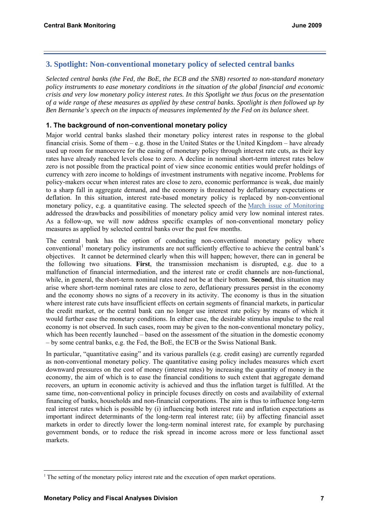# **3. Spotlight: Non-conventional monetary policy of selected central banks**

*Selected central banks (the Fed, the BoE, the ECB and the SNB) resorted to non-standard monetary policy instruments to ease monetary conditions in the situation of the global financial and economic crisis and very low monetary policy interest rates. In this Spotlight we thus focus on the presentation of a wide range of these measures as applied by these central banks. Spotlight is then followed up by Ben Bernanke's speech on the impacts of measures implemented by the Fed on its balance sheet.* 

## **1. The background of non-conventional monetary policy**

Major world central banks slashed their monetary policy interest rates in response to the global financial crisis. Some of them – e.g. those in the United States or the United Kingdom – have already used up room for manoeuvre for the easing of monetary policy through interest rate cuts, as their key rates have already reached levels close to zero. A decline in nominal short-term interest rates below zero is not possible from the practical point of view since economic entities would prefer holdings of currency with zero income to holdings of investment instruments with negative income. Problems for policy-makers occur when interest rates are close to zero, economic performance is weak, due mainly to a sharp fall in aggregate demand, and the economy is threatened by deflationary expectations or deflation. In this situation, interest rate-based monetary policy is replaced by non-conventional monetary policy, e.g. a quantitative easing. The selected speech of the [March issue of Monitoring](http://www.cnb.cz/m2export/sites/www.cnb.cz/en/monetary_policy/monitoring/download/0901_cbm.pdf) addressed the drawbacks and possibilities of monetary policy amid very low nominal interest rates. As a follow-up, we will now address specific examples of non-conventional monetary policy measures as applied by selected central banks over the past few months.

The central bank has the option of conducting non-conventional monetary policy where conventional<sup>[1](#page-6-0)</sup> monetary policy instruments are not sufficiently effective to achieve the central bank's objectives. It cannot be determined clearly when this will happen; however, there can in general be the following two situations. **First**, the transmission mechanism is disrupted, e.g. due to a malfunction of financial intermediation, and the interest rate or credit channels are non-functional, while, in general, the short-term nominal rates need not be at their bottom. **Second**, this situation may arise where short-term nominal rates are close to zero, deflationary pressures persist in the economy and the economy shows no signs of a recovery in its activity. The economy is thus in the situation where interest rate cuts have insufficient effects on certain segments of financial markets, in particular the credit market, or the central bank can no longer use interest rate policy by means of which it would further ease the monetary conditions. In either case, the desirable stimulus impulse to the real economy is not observed. In such cases, room may be given to the non-conventional monetary policy, which has been recently launched – based on the assessment of the situation in the domestic economy – by some central banks, e.g. the Fed, the BoE, the ECB or the Swiss National Bank.

In particular, "quantitative easing" and its various parallels (e.g. credit easing) are currently regarded as non-conventional monetary policy. The quantitative easing policy includes measures which exert downward pressures on the cost of money (interest rates) by increasing the quantity of money in the economy, the aim of which is to ease the financial conditions to such extent that aggregate demand recovers, an upturn in economic activity is achieved and thus the inflation target is fulfilled. At the same time, non-conventional policy in principle focuses directly on costs and availability of external financing of banks, households and non-financial corporations. The aim is thus to influence long-term real interest rates which is possible by (i) influencing both interest rate and inflation expectations as important indirect determinants of the long-term real interest rate; (ii) by affecting financial asset markets in order to directly lower the long-term nominal interest rate, for example by purchasing government bonds, or to reduce the risk spread in income across more or less functional asset markets.

-

<span id="page-6-0"></span><sup>&</sup>lt;sup>1</sup> The setting of the monetary policy interest rate and the execution of open market operations.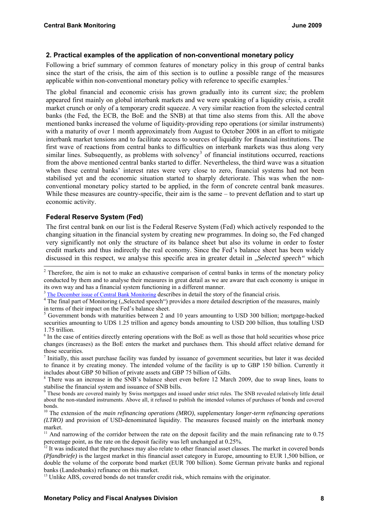## **2. Practical examples of the application of non-conventional monetary policy**

Following a brief summary of common features of monetary policy in this group of central banks since the start of the crisis, the aim of this section is to outline a possible range of the measures applicable within non-conventional monetary policy with reference to specific examples.<sup>[2](#page-7-0)</sup>

The global financial and economic crisis has grown gradually into its current size; the problem appeared first mainly on global interbank markets and we were speaking of a liquidity crisis, a credit market crunch or only of a temporary credit squeeze. A very similar reaction from the selected central banks (the Fed, the ECB, the BoE and the SNB) at that time also stems from this. All the above mentioned banks increased the volume of liquidity-providing repo operations (or similar instruments) with a maturity of over 1 month approximately from August to October 2008 in an effort to mitigate interbank market tensions and to facilitate access to sources of liquidity for financial institutions. The first wave of reactions from central banks to difficulties on interbank markets was thus along very similar lines. Subsequently, as problems with solvency<sup>[3](#page-7-1)</sup> of financial institutions occurred, reactions from the above mentioned central banks started to differ. Nevertheless, the third wave was a situation when these central banks' interest rates were very close to zero, financial systems had not been stabilised yet and the economic situation started to sharply deteriorate. This was when the nonconventional monetary policy started to be applied, in the form of concrete central bank measures. While these measures are country-specific, their aim is the same – to prevent deflation and to start up economic activity.

## **Federal Reserve System (Fed)**

1

The first central bank on our list is the Federal Reserve System (Fed) which actively responded to the changing situation in the financial system by creating new programmes. In doing so, the Fed changed very significantly not only the structure of its balance sheet but also its volume in order to foster credit markets and thus indirectly the real economy. Since the Fed's balance sheet has been widely discussed in this respect, we analyse this specific area in greater detail in "*Selected speech"* which

<sup>13</sup> Unlike ABS, covered bonds do not transfer credit risk, which remains with the originator.

<span id="page-7-0"></span> $2$  Therefore, the aim is not to make an exhaustive comparison of central banks in terms of the monetary policy conducted by them and to analyse their measures in great detail as we are aware that each economy is unique in its own way and has a financial system functioning in a different manner.

<sup>&</sup>lt;sup>3</sup> [The December issue of Central Bank Monitoring](http://www.cnb.cz/m2export/sites/www.cnb.cz/en/monetary_policy/monitoring/download/0804_cbm.pdf) describes in detail the story of the financial crisis.

<span id="page-7-1"></span><sup>&</sup>lt;sup>4</sup> The final part of Monitoring ("Selected speech") provides a more detailed description of the measures, mainly in terms of their impact on the Fed's balance sheet.

<sup>&</sup>lt;sup>5</sup> Government bonds with maturities between 2 and 10 years amounting to USD 300 billion; mortgage-backed securities amounting to UDS 1.25 trillion and agency bonds amounting to USD 200 billion, thus totalling USD 1.75 trillion.

<sup>6</sup> In the case of entities directly entering operations with the BoE as well as those that hold securities whose price changes (increases) as the BoE enters the market and purchases them. This should affect relative demand for those securities.

<sup>7</sup> Initially, this asset purchase facility was funded by issuance of government securities, but later it was decided to finance it by creating money. The intended volume of the facility is up to GBP 150 billion. Currently it includes about GBP 50 billion of private assets and GBP 75 billion of Gilts.

<sup>8</sup> There was an increase in the SNB's balance sheet even before 12 March 2009, due to swap lines, loans to stabilise the financial system and issuance of SNB bills.

<sup>&</sup>lt;sup>9</sup> These bonds are covered mainly by Swiss mortgages and issued under strict rules. The SNB revealed relatively little detail about the non-standard instruments. Above all, it refused to publish the intended volumes of purchases of bonds and covered bonds.

<sup>10</sup> The extension of the *main refinancing operations (MRO)*, supplementary *longer-term refinancing operations (LTRO)* and provision of USD-denominated liquidity. The measures focused mainly on the interbank money market.

<sup>&</sup>lt;sup>11</sup> And narrowing of the corridor between the rate on the deposit facility and the main refinancing rate to 0.75 percentage point, as the rate on the deposit facility was left unchanged at 0.25%.

 $12$  It was indicated that the purchases may also relate to other financial asset classes. The market in covered bonds *(Pfandbriefe)* is the largest market in this financial asset category in Europe, amounting to EUR 1,500 billion, or double the volume of the corporate bond market (EUR 700 billion). Some German private banks and regional banks (Landesbanks) refinance on this market.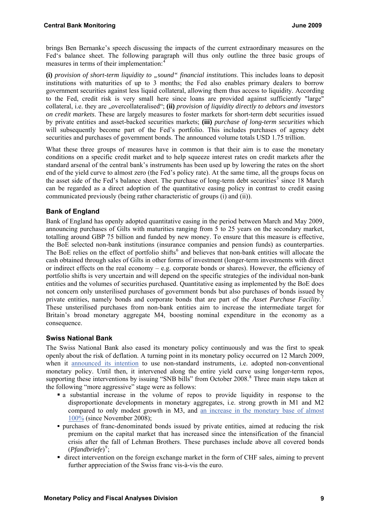<span id="page-8-3"></span>brings Ben Bernanke's speech discussing the impacts of the current extraordinary measures on the Fed's balance sheet. The following paragraph will thus only outline the three basic groups of measures in terms of their implementation:

(i) provision of short-term liquidity to "sound" financial institutions. This includes loans to deposit institutions with maturities of up to 3 months; the Fed also enables primary dealers to borrow government securities against less liquid collateral, allowing them thus access to liquidity. According to the Fed, credit risk is very small here since loans are provided against sufficiently "large" collateral, i.e. they are "overcollateralised"; (ii) *provision of liquidity directly to debtors and investors on credit markets*. These are largely measures to foster markets for short-term debt securities issued by private entities and asset-backed securities markets; **(iii)** *purchase of long-term securities* which will subsequently become part of the Fed's portfolio. This includes purchases of agency debt securities and purchases of government bonds. The announced volume totals USD 1.75 trillion.

What these three groups of measures have in common is that their aim is to ease the monetary conditions on a specific credit market and to help squeeze interest rates on credit markets after the standard arsenal of the central bank's instruments has been used up by lowering the rates on the short end of the yield curve to almost zero (the Fed's policy rate). At the same time, all the groups focus on the asset side of the Fed's balance sheet. The purchase of long-term debt securities<sup>[5](#page-8-1)</sup> since 18 March can be regarded as a direct adoption of the quantitative easing policy in contrast to credit easing communicated previously (being rather characteristic of groups (i) and (ii)).

## **Bank of England**

Bank of England has openly adopted quantitative easing in the period between March and May 2009, announcing purchases of Gilts with maturities ranging from 5 to 25 years on the secondary market, totalling around GBP 75 billion and funded by new money. To ensure that this measure is effective, the BoE selected non-bank institutions (insurance companies and pension funds) as counterparties. The BoE relies on the effect of portfolio shifts<sup>[6](#page-8-2)</sup> and believes that non-bank entities will allocate the cash obtained through sales of Gilts in other forms of investment (longer-term investments with direct or indirect effects on the real economy  $-$  e.g. corporate bonds or shares). However, the efficiency of portfolio shifts is very uncertain and will depend on the specific strategies of the individual non-bank entities and the volumes of securities purchased. Quantitative easing as implemented by the BoE does not concern only unsterilised purchases of government bonds but also purchases of bonds issued by private entities, namely bonds and corporate bonds that are part of the *Asset Purchase Facility*. [7](#page-8-3) These unsterilised purchases from non-bank entities aim to increase the intermediate target for Britain's broad monetary aggregate M4, boosting nominal expenditure in the economy as a consequence.

#### <span id="page-8-2"></span><span id="page-8-1"></span><span id="page-8-0"></span>**Swiss National Bank**

The Swiss National Bank also eased its monetary policy continuously and was the first to speak openly about the risk of deflation. A turning point in its monetary policy occurred on 12 March 2009, when it [announced its intention](http://www.snb.ch/en/mmr/reference/pre_20090312/source) to use non-standard instruments, i.e. adopted non-conventional monetary policy. Until then, it intervened along the entire yield curve using longer-term repos, supporting these interventions by issuing "SNB bills" from October 200[8](#page-8-3).<sup>8</sup> Three main steps taken at the following "more aggressive" stage were as follows:

- a substantial increase in the volume of repos to provide liquidity in response to the disproportionate developments in monetary aggregates, i.e. strong growth in M1 and M2 compared to only modest growth in M3, and [an increase in the monetary base of almost](http://www.snb.ch/ext/stats/statmon/pdf/deen/B1_Notenbankgeldmenge.pdf)  [100%](http://www.snb.ch/ext/stats/statmon/pdf/deen/B1_Notenbankgeldmenge.pdf) (since November 2008);
- purchases of franc-denominated bonds issued by private entities, aimed at reducing the risk premium on the capital market that has increased since the intensification of the financial crisis after the fall of Lehman Brothers. These purchases include above all covered bonds (*Pfandbriefe*) [9](#page-8-3) ;
- direct intervention on the foreign exchange market in the form of CHF sales, aiming to prevent further appreciation of the Swiss franc vis-à-vis the euro.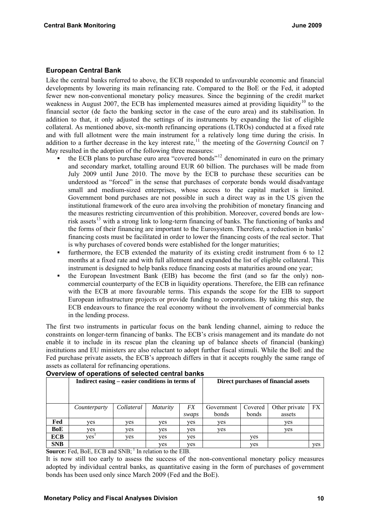## <span id="page-9-0"></span>**European Central Bank**

Like the central banks referred to above, the ECB responded to unfavourable economic and financial developments by lowering its main refinancing rate. Compared to the BoE or the Fed, it adopted fewer new non-conventional monetary policy measures. Since the beginning of the credit market weakness in August 2007, the ECB has implemented measures aimed at providing liquidity<sup>[10](#page-9-0)</sup> to the financial sector (de facto the banking sector in the case of the euro area) and its stabilisation. In addition to that, it only adjusted the settings of its instruments by expanding the list of eligible collateral. As mentioned above, six-month refinancing operations (LTROs) conducted at a fixed rate and with full allotment were the main instrument for a relatively long time during the crisis. In addition to a further decrease in the key interest rate,<sup>[11](#page-9-0)</sup> the meeting of the *Governing Council* on 7 May resulted in the adoption of the following three measures:

- the ECB plans to purchase euro area "covered bonds"[12](#page-9-0) denominated in euro on the primary and secondary market, totalling around EUR 60 billion. The purchases will be made from July 2009 until June 2010. The move by the ECB to purchase these securities can be understood as "forced" in the sense that purchases of corporate bonds would disadvantage small and medium-sized enterprises, whose access to the capital market is limited. Government bond purchases are not possible in such a direct way as in the US given the institutional framework of the euro area involving the prohibition of monetary financing and the measures restricting circumvention of this prohibition. Moreover, covered bonds are low-risk assets<sup>[13](#page-9-0)</sup> with a strong link to long-term financing of banks. The functioning of banks and the forms of their financing are important to the Eurosystem. Therefore, a reduction in banks' financing costs must be facilitated in order to lower the financing costs of the real sector. That is why purchases of covered bonds were established for the longer maturities;
- furthermore, the ECB extended the maturity of its existing credit instrument from 6 to 12 months at a fixed rate and with full allotment and expanded the list of eligible collateral. This instrument is designed to help banks reduce financing costs at maturities around one year;
- the European Investment Bank (EIB) has become the first (and so far the only) noncommercial counterparty of the ECB in liquidity operations. Therefore, the EIB can refinance with the ECB at more favourable terms. This expands the scope for the EIB to support European infrastructure projects or provide funding to corporations. By taking this step, the ECB endeavours to finance the real economy without the involvement of commercial banks in the lending process.

The first two instruments in particular focus on the bank lending channel, aiming to reduce the constraints on longer-term financing of banks. The ECB's crisis management and its mandate do not enable it to include in its rescue plan the cleaning up of balance sheets of financial (banking) institutions and EU ministers are also reluctant to adopt further fiscal stimuli. While the BoE and the Fed purchase private assets, the ECB's approach differs in that it accepts roughly the same range of assets as collateral for refinancing operations.

|            | Indirect easing – easier conditions in terms of |            |                 |                    | Direct purchases of financial assets |                  |                         |           |
|------------|-------------------------------------------------|------------|-----------------|--------------------|--------------------------------------|------------------|-------------------------|-----------|
|            | Counterparty                                    | Collateral | <i>Maturity</i> | <i>FX</i><br>swaps | Government<br>bonds                  | Covered<br>bonds | Other private<br>assets | <b>FX</b> |
| Fed        | ves                                             | ves        | ves             | ves                | ves                                  |                  | <b>ves</b>              |           |
| BoE        | ves                                             | ves        | ves             | ves                | ves                                  |                  | ves                     |           |
| <b>ECB</b> | ves                                             | ves        | ves             | ves                |                                      | yes              |                         |           |
| <b>SNB</b> |                                                 |            | ves             | ves                |                                      | yes              |                         | ves       |

## **Overview of operations of selected central banks**

**Source:** Fed, BoE, ECB and SNB; <sup>1</sup> In relation to the EIB.

It is now still too early to assess the success of the non-conventional monetary policy measures adopted by individual central banks, as quantitative easing in the form of purchases of government bonds has been used only since March 2009 (Fed and the BoE).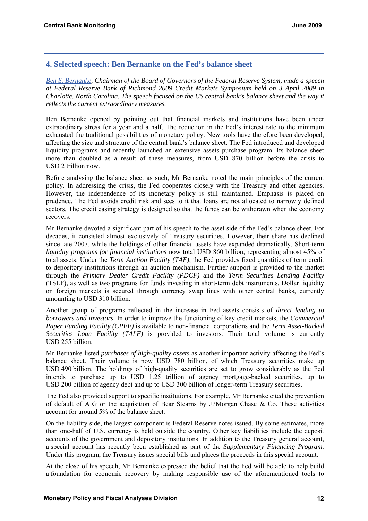# **4. Selected speech: Ben Bernanke on the Fed's balance sheet**

*[Ben S. Bernanke,](http://www.federalreserve.gov./newsevents/speech/bernanke20090403a.htm) Chairman of the Board of Governors of the Federal Reserve System, made a speech at Federal Reserve Bank of Richmond 2009 Credit Markets Symposium held on 3 April 2009 in Charlotte, North Carolina. The speech focused on the US central bank's balance sheet and the way it reflects the current extraordinary measures.* 

Ben Bernanke opened by pointing out that financial markets and institutions have been under extraordinary stress for a year and a half. The reduction in the Fed's interest rate to the minimum exhausted the traditional possibilities of monetary policy. New tools have therefore been developed, affecting the size and structure of the central bank's balance sheet. The Fed introduced and developed liquidity programs and recently launched an extensive assets purchase program. Its balance sheet more than doubled as a result of these measures, from USD 870 billion before the crisis to USD 2 trillion now.

Before analysing the balance sheet as such, Mr Bernanke noted the main principles of the current policy. In addressing the crisis, the Fed cooperates closely with the Treasury and other agencies. However, the independence of its monetary policy is still maintained. Emphasis is placed on prudence. The Fed avoids credit risk and sees to it that loans are not allocated to narrowly defined sectors. The credit easing strategy is designed so that the funds can be withdrawn when the economy recovers.

Mr Bernanke devoted a significant part of his speech to the asset side of the Fed's balance sheet. For decades, it consisted almost exclusively of Treasury securities. However, their share has declined since late 2007, while the holdings of other financial assets have expanded dramatically. Short-term *liquidity programs for financial institutions* now total USD 860 billion, representing almost 45% of total assets. Under the *Term Auction Facility (TAF)*, the Fed provides fixed quantities of term credit to depository institutions through an auction mechanism. Further support is provided to the market through the *Primary Dealer Credit Facility (PDCF)* and the *Term Securities Lending Facility* (TSLF), as well as two programs for funds investing in short-term debt instruments. Dollar liquidity on foreign markets is secured through currency swap lines with other central banks, currently amounting to USD 310 billion.

Another group of programs reflected in the increase in Fed assets consists of *direct lending to borrowers and investors*. In order to improve the functioning of key credit markets, the *Commercial Paper Funding Facility (CPFF)* is available to non-financial corporations and the *Term Asset-Backed Securities Loan Facility (TALF)* is provided to investors. Their total volume is currently USD 255 billion.

Mr Bernanke listed *purchases of high-quality assets* as another important activity affecting the Fed's balance sheet. Their volume is now USD 780 billion, of which Treasury securities make up USD 490 billion. The holdings of high-quality securities are set to grow considerably as the Fed intends to purchase up to USD 1.25 trillion of agency mortgage-backed securities, up to USD 200 billion of agency debt and up to USD 300 billion of longer-term Treasury securities.

The Fed also provided support to specific institutions. For example, Mr Bernanke cited the prevention of default of AIG or the acquisition of Bear Stearns by JPMorgan Chase & Co. These activities account for around 5% of the balance sheet.

On the liability side, the largest component is Federal Reserve notes issued. By some estimates, more than one-half of U.S. currency is held outside the country. Other key liabilities include the deposit accounts of the government and depository institutions. In addition to the Treasury general account, a special account has recently been established as part of the *Supplementary Financing Program*. Under this program, the Treasury issues special bills and places the proceeds in this special account.

At the close of his speech, Mr Bernanke expressed the belief that the Fed will be able to help build a foundation for economic recovery by making responsible use of the aforementioned tools to